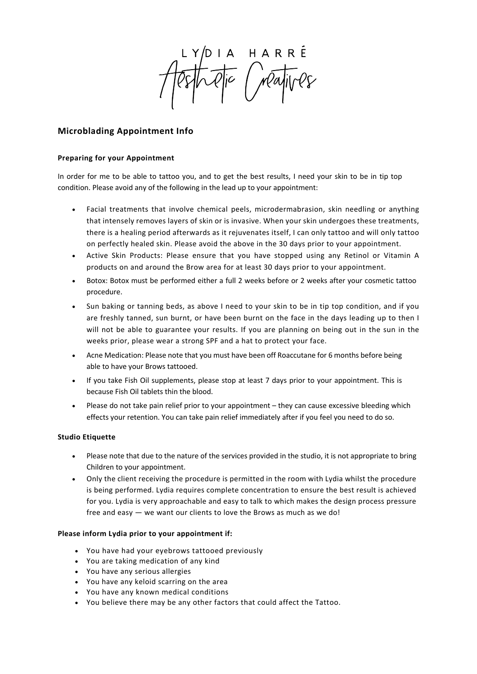IA HARRÉ<br>Qic Mayives

# **Microblading Appointment Info**

## **Preparing for your Appointment**

In order for me to be able to tattoo you, and to get the best results, I need your skin to be in tip top condition. Please avoid any of the following in the lead up to your appointment:

- Facial treatments that involve chemical peels, microdermabrasion, skin needling or anything that intensely removes layers of skin or is invasive. When your skin undergoes these treatments, there is a healing period afterwards as it rejuvenates itself, I can only tattoo and will only tattoo on perfectly healed skin. Please avoid the above in the 30 days prior to your appointment.
- Active Skin Products: Please ensure that you have stopped using any Retinol or Vitamin A products on and around the Brow area for at least 30 days prior to your appointment.
- Botox: Botox must be performed either a full 2 weeks before or 2 weeks after your cosmetic tattoo procedure.
- Sun baking or tanning beds, as above I need to your skin to be in tip top condition, and if you are freshly tanned, sun burnt, or have been burnt on the face in the days leading up to then I will not be able to guarantee your results. If you are planning on being out in the sun in the weeks prior, please wear a strong SPF and a hat to protect your face.
- Acne Medication: Please note that you must have been off Roaccutane for 6 months before being able to have your Brows tattooed.
- If you take Fish Oil supplements, please stop at least 7 days prior to your appointment. This is because Fish Oil tablets thin the blood.
- Please do not take pain relief prior to your appointment they can cause excessive bleeding which effects your retention. You can take pain relief immediately after if you feel you need to do so.

### **Studio Etiquette**

- Please note that due to the nature of the services provided in the studio, it is not appropriate to bring Children to your appointment.
- Only the client receiving the procedure is permitted in the room with Lydia whilst the procedure is being performed. Lydia requires complete concentration to ensure the best result is achieved for you. Lydia is very approachable and easy to talk to which makes the design process pressure free and easy — we want our clients to love the Brows as much as we do!

### **Please inform Lydia prior to your appointment if:**

- You have had your eyebrows tattooed previously
- You are taking medication of any kind
- You have any serious allergies
- You have any keloid scarring on the area
- You have any known medical conditions
- You believe there may be any other factors that could affect the Tattoo.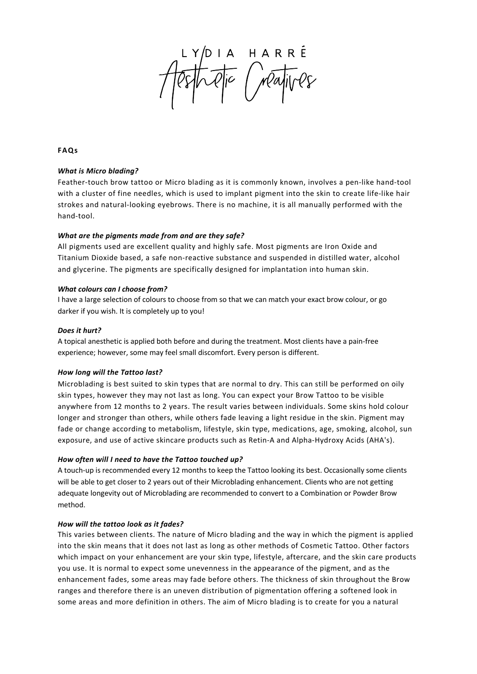IA HARRÉ<br>Qic Mayives

**FAQs**

### *What is Micro blading?*

Feather-touch brow tattoo or Micro blading as it is commonly known, involves a pen-like hand-tool with a cluster of fine needles, which is used to implant pigment into the skin to create life-like hair strokes and natural-looking eyebrows. There is no machine, it is all manually performed with the hand-tool.

### *What are the pigments made from and are they safe?*

All pigments used are excellent quality and highly safe. Most pigments are Iron Oxide and Titanium Dioxide based, a safe non-reactive substance and suspended in distilled water, alcohol and glycerine. The pigments are specifically designed for implantation into human skin.

### *What colours can I choose from?*

I have a large selection of colours to choose from so that we can match your exact brow colour, or go darker if you wish. It is completely up to you!

### *Does it hurt?*

A topical anesthetic is applied both before and during the treatment. Most clients have a pain-free experience; however, some may feel small discomfort. Every person is different.

# *How long will the Tattoo last?*

Microblading is best suited to skin types that are normal to dry. This can still be performed on oily skin types, however they may not last as long. You can expect your Brow Tattoo to be visible anywhere from 12 months to 2 years. The result varies between individuals. Some skins hold colour longer and stronger than others, while others fade leaving a light residue in the skin. Pigment may fade or change according to metabolism, lifestyle, skin type, medications, age, smoking, alcohol, sun exposure, and use of active skincare products such as Retin-A and Alpha-Hydroxy Acids (AHA's).

# *How often will I need to have the Tattoo touched up?*

A touch-up is recommended every 12 months to keep the Tattoo looking its best. Occasionally some clients will be able to get closer to 2 years out of their Microblading enhancement. Clients who are not getting adequate longevity out of Microblading are recommended to convert to a Combination or Powder Brow method.

### *How will the tattoo look as it fades?*

This varies between clients. The nature of Micro blading and the way in which the pigment is applied into the skin means that it does not last as long as other methods of Cosmetic Tattoo. Other factors which impact on your enhancement are your skin type, lifestyle, aftercare, and the skin care products you use. It is normal to expect some unevenness in the appearance of the pigment, and as the enhancement fades, some areas may fade before others. The thickness of skin throughout the Brow ranges and therefore there is an uneven distribution of pigmentation offering a softened look in some areas and more definition in others. The aim of Micro blading is to create for you a natural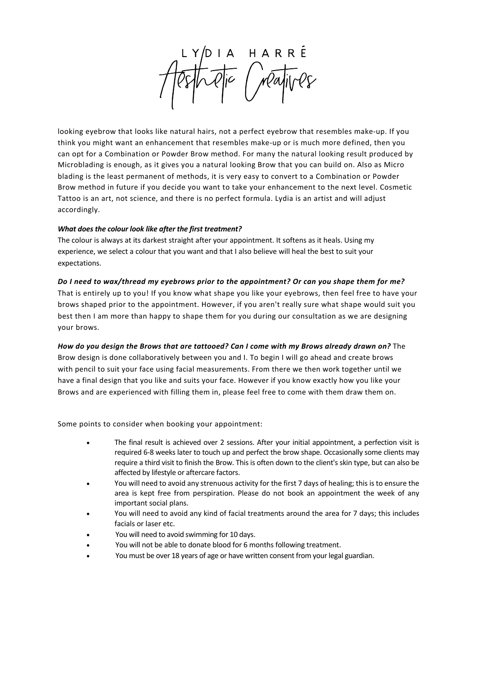HARRÉ<br>Mayives

looking eyebrow that looks like natural hairs, not a perfect eyebrow that resembles make-up. If you think you might want an enhancement that resembles make-up or is much more defined, then you can opt for a Combination or Powder Brow method. For many the natural looking result produced by Microblading is enough, as it gives you a natural looking Brow that you can build on. Also as Micro blading is the least permanent of methods, it is very easy to convert to a Combination or Powder Brow method in future if you decide you want to take your enhancement to the next level. Cosmetic Tattoo is an art, not science, and there is no perfect formula. Lydia is an artist and will adjust accordingly.

### *What does the colour look like after the first treatment?*

The colour is always at its darkest straight after your appointment. It softens as it heals. Using my experience, we select a colour that you want and that I also believe will heal the best to suit your expectations.

### *Do I need to wax/thread my eyebrows prior to the appointment? Or can you shape them for me?*

That is entirely up to you! If you know what shape you like your eyebrows, then feel free to have your brows shaped prior to the appointment. However, if you aren't really sure what shape would suit you best then I am more than happy to shape them for you during our consultation as we are designing your brows.

# *How do you design the Brows that are tattooed? Can I come with my Brows already drawn on?* The Brow design is done collaboratively between you and I. To begin I will go ahead and create brows with pencil to suit your face using facial measurements. From there we then work together until we have a final design that you like and suits your face. However if you know exactly how you like your Brows and are experienced with filling them in, please feel free to come with them draw them on.

Some points to consider when booking your appointment:

- The final result is achieved over 2 sessions. After your initial appointment, a perfection visit is required 6-8 weeks later to touch up and perfect the brow shape. Occasionally some clients may require a third visit to finish the Brow. This is often down to the client's skin type, but can also be affected by lifestyle or aftercare factors.
- You will need to avoid any strenuous activity for the first 7 days of healing; this is to ensure the area is kept free from perspiration. Please do not book an appointment the week of any important social plans.
- You will need to avoid any kind of facial treatments around the area for 7 days; this includes facials or laser etc.
- You will need to avoid swimming for 10 days.
- You will not be able to donate blood for 6 months following treatment.
- You must be over 18 years of age or have written consent from your legal guardian.